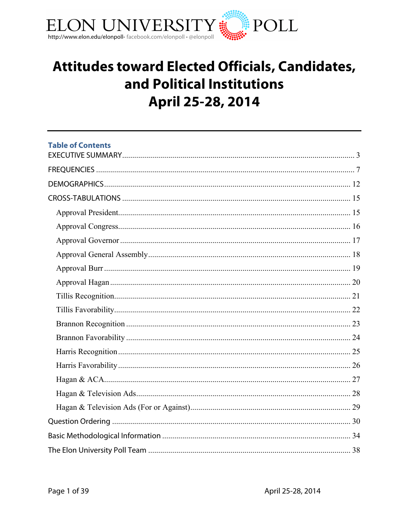

# Attitudes toward Elected Officials, Candidates, and Political Institutions April 25-28, 2014

| <b>Table of Contents</b> |  |
|--------------------------|--|
|                          |  |
|                          |  |
|                          |  |
|                          |  |
|                          |  |
|                          |  |
|                          |  |
|                          |  |
|                          |  |
|                          |  |
|                          |  |
|                          |  |
|                          |  |
|                          |  |
|                          |  |
|                          |  |
|                          |  |
|                          |  |
|                          |  |
|                          |  |
|                          |  |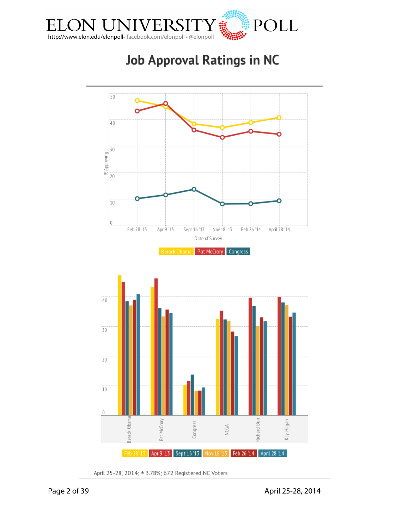

# **Job Approval Ratings in NC**



April 25-28, 2014; ± 3.78%; 672 Registered NC Voters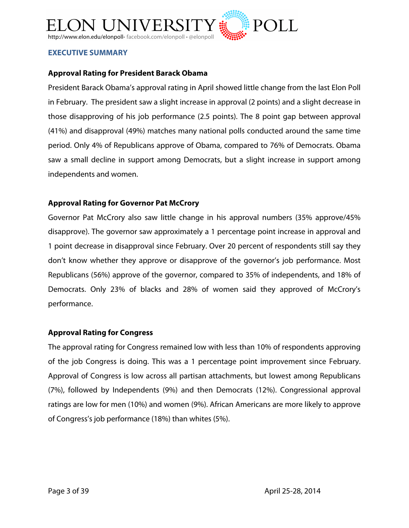

#### **EXECUTIVE SUMMARY**

#### **Approval Rating for President Barack Obama**

President Barack Obama's approval rating in April showed little change from the last Elon Poll in February. The president saw a slight increase in approval (2 points) and a slight decrease in those disapproving of his job performance (2.5 points). The 8 point gap between approval (41%) and disapproval (49%) matches many national polls conducted around the same time period. Only 4% of Republicans approve of Obama, compared to 76% of Democrats. Obama saw a small decline in support among Democrats, but a slight increase in support among independents and women.

#### **Approval Rating for Governor Pat McCrory**

Governor Pat McCrory also saw little change in his approval numbers (35% approve/45% disapprove). The governor saw approximately a 1 percentage point increase in approval and 1 point decrease in disapproval since February. Over 20 percent of respondents still say they don't know whether they approve or disapprove of the governor's job performance. Most Republicans (56%) approve of the governor, compared to 35% of independents, and 18% of Democrats. Only 23% of blacks and 28% of women said they approved of McCrory's performance.

#### **Approval Rating for Congress**

The approval rating for Congress remained low with less than 10% of respondents approving of the job Congress is doing. This was a 1 percentage point improvement since February. Approval of Congress is low across all partisan attachments, but lowest among Republicans (7%), followed by Independents (9%) and then Democrats (12%). Congressional approval ratings are low for men (10%) and women (9%). African Americans are more likely to approve of Congress's job performance (18%) than whites (5%).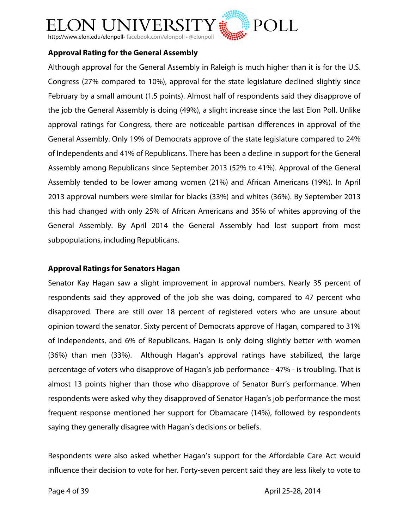

#### **Approval Rating for the General Assembly**

Although approval for the General Assembly in Raleigh is much higher than it is for the U.S. Congress (27% compared to 10%), approval for the state legislature declined slightly since February by a small amount (1.5 points). Almost half of respondents said they disapprove of the job the General Assembly is doing (49%), a slight increase since the last Elon Poll. Unlike approval ratings for Congress, there are noticeable partisan differences in approval of the General Assembly. Only 19% of Democrats approve of the state legislature compared to 24% of Independents and 41% of Republicans. There has been a decline in support for the General Assembly among Republicans since September 2013 (52% to 41%). Approval of the General Assembly tended to be lower among women (21%) and African Americans (19%). In April 2013 approval numbers were similar for blacks (33%) and whites (36%). By September 2013 this had changed with only 25% of African Americans and 35% of whites approving of the General Assembly. By April 2014 the General Assembly had lost support from most subpopulations, including Republicans.

#### **Approval Ratings for Senators Hagan**

Senator Kay Hagan saw a slight improvement in approval numbers. Nearly 35 percent of respondents said they approved of the job she was doing, compared to 47 percent who disapproved. There are still over 18 percent of registered voters who are unsure about opinion toward the senator. Sixty percent of Democrats approve of Hagan, compared to 31% of Independents, and 6% of Republicans. Hagan is only doing slightly better with women (36%) than men (33%). Although Hagan's approval ratings have stabilized, the large percentage of voters who disapprove of Hagan's job performance - 47% - is troubling. That is almost 13 points higher than those who disapprove of Senator Burr's performance. When respondents were asked why they disapproved of Senator Hagan's job performance the most frequent response mentioned her support for Obamacare (14%), followed by respondents saying they generally disagree with Hagan's decisions or beliefs.

Respondents were also asked whether Hagan's support for the Affordable Care Act would influence their decision to vote for her. Forty-seven percent said they are less likely to vote to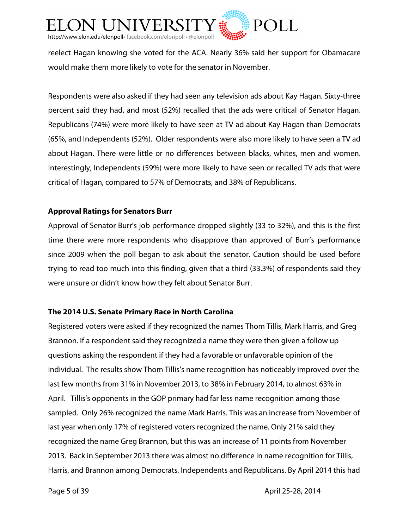

reelect Hagan knowing she voted for the ACA. Nearly 36% said her support for Obamacare would make them more likely to vote for the senator in November.

Respondents were also asked if they had seen any television ads about Kay Hagan. Sixty-three percent said they had, and most (52%) recalled that the ads were critical of Senator Hagan. Republicans (74%) were more likely to have seen at TV ad about Kay Hagan than Democrats (65%, and Independents (52%). Older respondents were also more likely to have seen a TV ad about Hagan. There were little or no differences between blacks, whites, men and women. Interestingly, Independents (59%) were more likely to have seen or recalled TV ads that were critical of Hagan, compared to 57% of Democrats, and 38% of Republicans.

#### **Approval Ratings for Senators Burr**

Approval of Senator Burr's job performance dropped slightly (33 to 32%), and this is the first time there were more respondents who disapprove than approved of Burr's performance since 2009 when the poll began to ask about the senator. Caution should be used before trying to read too much into this finding, given that a third (33.3%) of respondents said they were unsure or didn't know how they felt about Senator Burr.

#### **The 2014 U.S. Senate Primary Race in North Carolina**

Registered voters were asked if they recognized the names Thom Tillis, Mark Harris, and Greg Brannon. If a respondent said they recognized a name they were then given a follow up questions asking the respondent if they had a favorable or unfavorable opinion of the individual. The results show Thom Tillis's name recognition has noticeably improved over the last few months from 31% in November 2013, to 38% in February 2014, to almost 63% in April. Tillis's opponents in the GOP primary had far less name recognition among those sampled. Only 26% recognized the name Mark Harris. This was an increase from November of last year when only 17% of registered voters recognized the name. Only 21% said they recognized the name Greg Brannon, but this was an increase of 11 points from November 2013. Back in September 2013 there was almost no difference in name recognition for Tillis, Harris, and Brannon among Democrats, Independents and Republicans. By April 2014 this had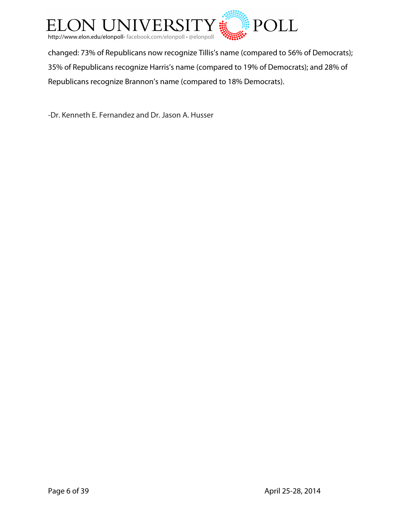

changed: 73% of Republicans now recognize Tillis's name (compared to 56% of Democrats); 35% of Republicans recognize Harris's name (compared to 19% of Democrats); and 28% of Republicans recognize Brannon's name (compared to 18% Democrats).

-Dr. Kenneth E. Fernandez and Dr. Jason A. Husser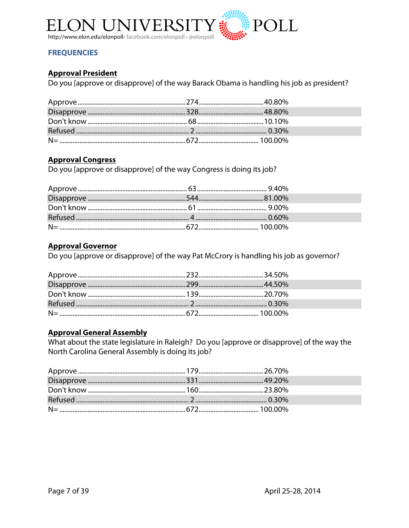

#### **FREQUENCIES**

#### **Approval President**

Do you [approve or disapprove] of the way Barack Obama is handling his job as president?

#### **Approval Congress**

Do you [approve or disapprove] of the way Congress is doing its job?

#### **Approval Governor**

Do you [approve or disapprove] of the way Pat McCrory is handling his job as governor?

#### **Approval General Assembly**

What about the state legislature in Raleigh? Do you [approve or disapprove] of the way the North Carolina General Assembly is doing its job?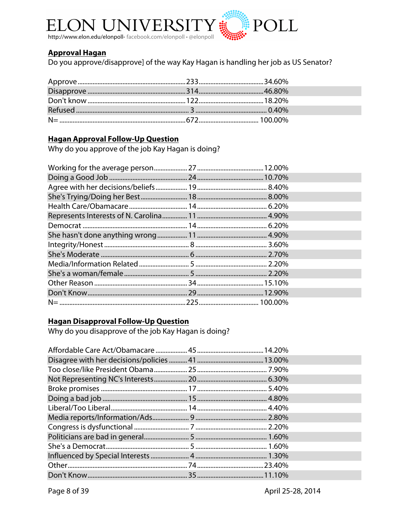

#### **Approval Hagan**

Do you approve/disapprove] of the way Kay Hagan is handling her job as US Senator?

#### **Hagan Approval Follow-Up Question**

Why do you approve of the job Kay Hagan is doing?

#### **Hagan Disapproval Follow-Up Question**

Why do you disapprove of the job Kay Hagan is doing?

Page 8 of 39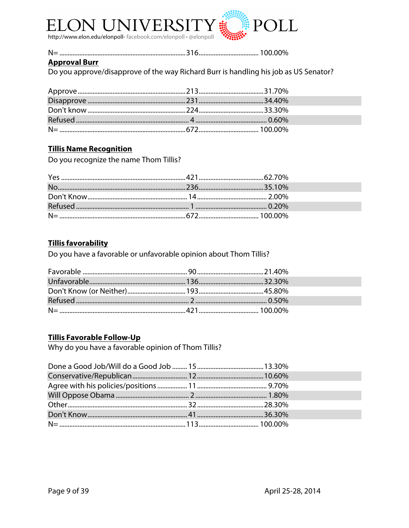

#### 

#### **Approval Burr**

Do you approve/disapprove of the way Richard Burr is handling his job as US Senator?

#### **Tillis Name Recognition**

Do you recognize the name Thom Tillis?

#### **Tillis favorability**

Do you have a favorable or unfavorable opinion about Thom Tillis?

#### **Tillis Favorable Follow-Up**

Why do you have a favorable opinion of Thom Tillis?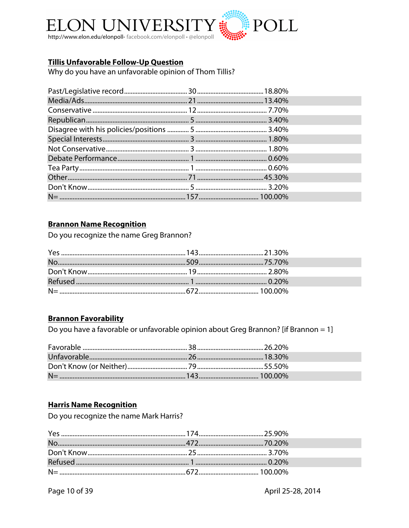

#### **Tillis Unfavorable Follow-Up Question**

Why do you have an unfavorable opinion of Thom Tillis?

#### **Brannon Name Recognition**

Do you recognize the name Greg Brannon?

#### **Brannon Favorability**

Do you have a favorable or unfavorable opinion about Greg Brannon? [if Brannon = 1]

#### **Harris Name Recognition**

Do you recognize the name Mark Harris?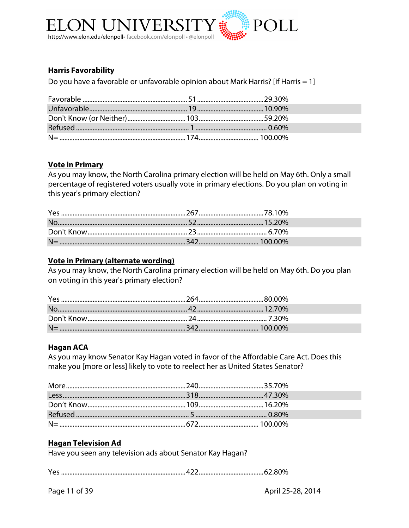

#### **Harris Favorability**

Do you have a favorable or unfavorable opinion about Mark Harris? [if Harris = 1]

#### **Vote in Primary**

As you may know, the North Carolina primary election will be held on May 6th. Only a small percentage of registered voters usually vote in primary elections. Do you plan on voting in this year's primary election?

#### Vote in Primary (alternate wording)

As you may know, the North Carolina primary election will be held on May 6th. Do you plan on voting in this year's primary election?

#### **Hagan ACA**

As you may know Senator Kay Hagan voted in favor of the Affordable Care Act. Does this make you [more or less] likely to vote to reelect her as United States Senator?

#### **Hagan Television Ad**

Have you seen any television ads about Senator Kay Hagan?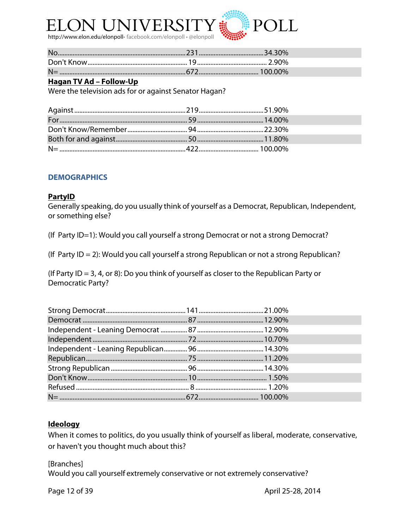

#### **Hagan TV Ad – Follow-Up**

Were the television ads for or against Senator Hagan?

#### **DEMOGRAPHICS**

#### **PartyID**

Generally speaking, do you usually think of yourself as a Democrat, Republican, Independent, or something else?

(If Party ID=1): Would you call yourself a strong Democrat or not a strong Democrat?

(If Party ID = 2): Would you call yourself a strong Republican or not a strong Republican?

(If Party ID = 3, 4, or 8): Do you think of yourself as closer to the Republican Party or Democratic Party?

#### **Ideology**

When it comes to politics, do you usually think of yourself as liberal, moderate, conservative, or haven't you thought much about this?

[Branches]

Would you call yourself extremely conservative or not extremely conservative?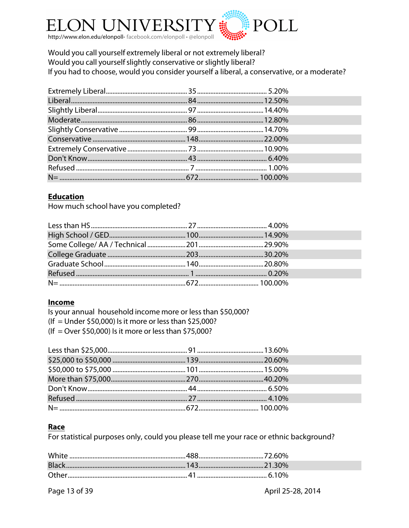

Would you call yourself extremely liberal or not extremely liberal? Would you call yourself slightly conservative or slightly liberal? If you had to choose, would you consider yourself a liberal, a conservative, or a moderate?

#### **Education**

How much school have you completed?

#### Income

Is your annual household income more or less than \$50,000? (If = Under \$50,000) Is it more or less than \$25,000? (If = Over \$50,000) Is it more or less than \$75,000?

#### Race

For statistical purposes only, could you please tell me your race or ethnic background?

Page 13 of 39

April 25-28, 2014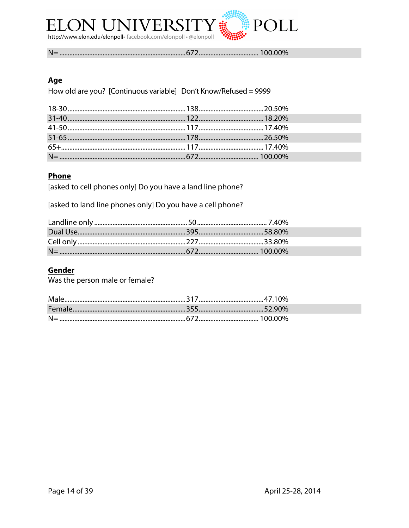

#### Age

How old are you? [Continuous variable] Don't Know/Refused = 9999

### **Phone**

[asked to cell phones only] Do you have a land line phone?

[asked to land line phones only] Do you have a cell phone?

#### Gender

Was the person male or female?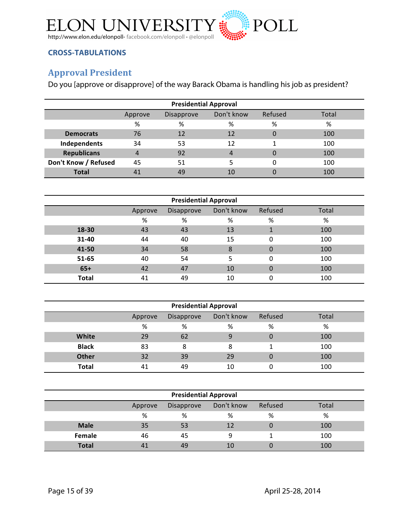

#### **CROSS-TABULATIONS**

## **Approval President**

Do you [approve or disapprove] of the way Barack Obama is handling his job as president?

| <b>Presidential Approval</b>                            |    |    |    |   |     |  |  |
|---------------------------------------------------------|----|----|----|---|-----|--|--|
| Don't know<br>Refused<br>Total<br>Disapprove<br>Approve |    |    |    |   |     |  |  |
|                                                         | %  | %  | %  | % | %   |  |  |
| <b>Democrats</b>                                        | 76 | 12 | 12 | 0 | 100 |  |  |
| Independents                                            | 34 | 53 | 12 |   | 100 |  |  |
| <b>Republicans</b>                                      | 4  | 92 | 4  | 0 | 100 |  |  |
| Don't Know / Refused                                    | 45 | 51 |    |   | 100 |  |  |
| <b>Total</b>                                            | 41 | 49 | 10 |   | 100 |  |  |

| <b>Presidential Approval</b> |         |            |            |          |       |  |
|------------------------------|---------|------------|------------|----------|-------|--|
|                              | Approve | Disapprove | Don't know | Refused  | Total |  |
|                              | %       | %          | %          | %        | %     |  |
| 18-30                        | 43      | 43         | 13         | 1        | 100   |  |
| 31-40                        | 44      | 40         | 15         | $\Omega$ | 100   |  |
| 41-50                        | 34      | 58         | 8          | $\Omega$ | 100   |  |
| 51-65                        | 40      | 54         | 5          | $\Omega$ | 100   |  |
| $65+$                        | 42      | 47         | 10         | $\Omega$ | 100   |  |
| <b>Total</b>                 | 41      | 49         | 10         | 0        | 100   |  |

| <b>Presidential Approval</b>                            |    |    |    |          |     |  |  |
|---------------------------------------------------------|----|----|----|----------|-----|--|--|
| Don't know<br>Refused<br>Total<br>Disapprove<br>Approve |    |    |    |          |     |  |  |
|                                                         | %  | %  | %  | %        | %   |  |  |
| <b>White</b>                                            | 29 | 62 |    | $\Omega$ | 100 |  |  |
| <b>Black</b>                                            | 83 | 8  | 8  |          | 100 |  |  |
| <b>Other</b>                                            | 32 | 39 | 29 |          | 100 |  |  |
| Total                                                   | 41 | 49 | 10 |          | 100 |  |  |

| <b>Presidential Approval</b>                            |    |    |    |   |     |  |  |
|---------------------------------------------------------|----|----|----|---|-----|--|--|
| Don't know<br>Refused<br>Total<br>Disapprove<br>Approve |    |    |    |   |     |  |  |
|                                                         | %  | %  | %  | % | %   |  |  |
| <b>Male</b>                                             | 35 | 53 | 12 |   | 100 |  |  |
| Female                                                  | 46 | 45 | Ω  |   | 100 |  |  |
| <b>Total</b>                                            |    | 49 | 10 |   | 100 |  |  |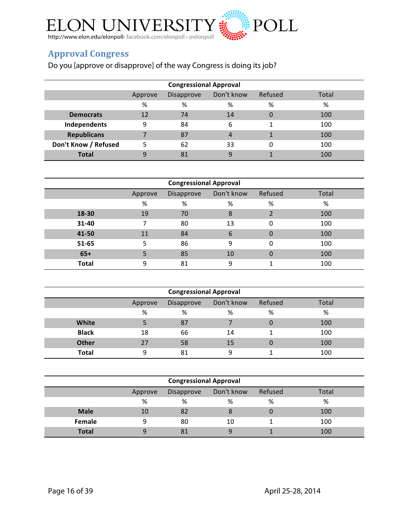

## **Approval Congress**

Do you [approve or disapprove] of the way Congress is doing its job?

| <b>Congressional Approval</b> |         |            |            |         |       |  |  |
|-------------------------------|---------|------------|------------|---------|-------|--|--|
|                               | Approve | Disapprove | Don't know | Refused | Total |  |  |
|                               | %       | %          | %          | %       | %     |  |  |
| <b>Democrats</b>              | 12      | 74         | 14         |         | 100   |  |  |
| Independents                  | 9       | 84         | 6          |         | 100   |  |  |
| <b>Republicans</b>            |         | 87         | 4          |         | 100   |  |  |
| Don't Know / Refused          |         | 62         | 33         | 0       | 100   |  |  |
| <b>Total</b>                  |         | 81         | q          |         | 100   |  |  |

| <b>Congressional Approval</b> |         |            |            |          |       |  |
|-------------------------------|---------|------------|------------|----------|-------|--|
|                               | Approve | Disapprove | Don't know | Refused  | Total |  |
|                               | %       | %          | %          | %        | %     |  |
| 18-30                         | 19      | 70         | 8          | 2        | 100   |  |
| 31-40                         |         | 80         | 13         | $\Omega$ | 100   |  |
| 41-50                         | 11      | 84         | 6          | $\Omega$ | 100   |  |
| 51-65                         | 5       | 86         | 9          | $\Omega$ | 100   |  |
| $65+$                         |         | 85         | 10         | $\Omega$ | 100   |  |
| <b>Total</b>                  | 9       | 81         | 9          |          | 100   |  |

| <b>Congressional Approval</b>                           |    |    |    |   |     |  |  |  |
|---------------------------------------------------------|----|----|----|---|-----|--|--|--|
| Don't know<br>Refused<br>Total<br>Disapprove<br>Approve |    |    |    |   |     |  |  |  |
|                                                         | %  | ℅  | %  | % | %   |  |  |  |
| White                                                   |    | 87 |    | 0 | 100 |  |  |  |
| <b>Black</b>                                            | 18 | 66 | 14 |   | 100 |  |  |  |
| <b>Other</b>                                            | 27 | 58 | 15 | 0 | 100 |  |  |  |
| <b>Total</b>                                            | Ω  | 81 | Ω  |   | 100 |  |  |  |

| <b>Congressional Approval</b>                           |    |    |    |   |     |  |  |  |
|---------------------------------------------------------|----|----|----|---|-----|--|--|--|
| Don't know<br>Refused<br>Total<br>Disapprove<br>Approve |    |    |    |   |     |  |  |  |
|                                                         | %  | %  | %  | % | %   |  |  |  |
| <b>Male</b>                                             | 10 | 82 |    |   | 100 |  |  |  |
| Female                                                  | q  | 80 | 10 |   | 100 |  |  |  |
| <b>Total</b>                                            |    | 81 |    |   | 100 |  |  |  |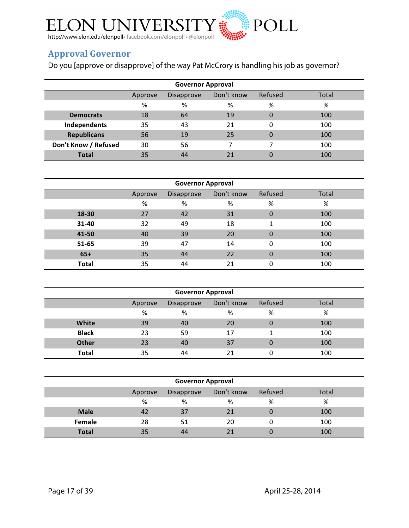

## **Approval Governor**

Do you [approve or disapprove] of the way Pat McCrory is handling his job as governor?

| <b>Governor Approval</b>                                |    |    |    |          |     |  |  |  |
|---------------------------------------------------------|----|----|----|----------|-----|--|--|--|
| Don't know<br>Refused<br>Disapprove<br>Total<br>Approve |    |    |    |          |     |  |  |  |
|                                                         | %  | %  | %  | %        | %   |  |  |  |
| <b>Democrats</b>                                        | 18 | 64 | 19 | $\Omega$ | 100 |  |  |  |
| Independents                                            | 35 | 43 | 21 | 0        | 100 |  |  |  |
| <b>Republicans</b>                                      | 56 | 19 | 25 | $\Omega$ | 100 |  |  |  |
| Don't Know / Refused                                    | 30 | 56 |    |          | 100 |  |  |  |
| <b>Total</b>                                            | 35 | 44 |    |          | 100 |  |  |  |

| <b>Governor Approval</b> |         |            |            |          |       |  |  |  |
|--------------------------|---------|------------|------------|----------|-------|--|--|--|
|                          | Approve | Disapprove | Don't know | Refused  | Total |  |  |  |
|                          | %       | %          | %          | %        | %     |  |  |  |
| 18-30                    | 27      | 42         | 31         | $\Omega$ | 100   |  |  |  |
| 31-40                    | 32      | 49         | 18         | 1        | 100   |  |  |  |
| 41-50                    | 40      | 39         | 20         | $\Omega$ | 100   |  |  |  |
| 51-65                    | 39      | 47         | 14         | $\Omega$ | 100   |  |  |  |
| $65+$                    | 35      | 44         | 22         | $\Omega$ | 100   |  |  |  |
| <b>Total</b>             | 35      | 44         | 21         | 0        | 100   |  |  |  |

| <b>Governor Approval</b>                                |    |    |    |   |     |  |  |  |
|---------------------------------------------------------|----|----|----|---|-----|--|--|--|
| Don't know<br>Refused<br>Total<br>Disapprove<br>Approve |    |    |    |   |     |  |  |  |
|                                                         | %  | %  | %  | % | %   |  |  |  |
| <b>White</b>                                            | 39 | 40 | 20 | 0 | 100 |  |  |  |
| <b>Black</b>                                            | 23 | 59 | 17 |   | 100 |  |  |  |
| <b>Other</b>                                            | 23 | 40 | 37 | 0 | 100 |  |  |  |
| <b>Total</b>                                            | 35 | 44 |    |   | 100 |  |  |  |

| <b>Governor Approval</b>                                |    |    |    |   |     |  |  |  |
|---------------------------------------------------------|----|----|----|---|-----|--|--|--|
| Don't know<br>Refused<br>Total<br>Disapprove<br>Approve |    |    |    |   |     |  |  |  |
|                                                         | %  | %  | %  | % | %   |  |  |  |
| <b>Male</b>                                             | 42 | 37 | 21 |   | 100 |  |  |  |
| Female                                                  | 28 | 51 | 20 |   | 100 |  |  |  |
| <b>Total</b>                                            | 35 | 44 |    |   | 100 |  |  |  |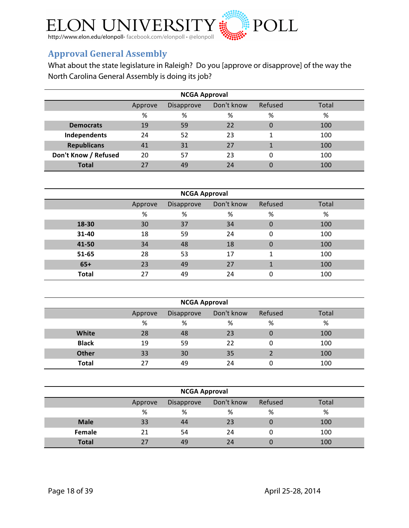

# **Approval General Assembly**

What about the state legislature in Raleigh? Do you [approve or disapprove] of the way the North Carolina General Assembly is doing its job?

| <b>NCGA Approval</b>                                           |    |    |    |   |     |  |  |  |
|----------------------------------------------------------------|----|----|----|---|-----|--|--|--|
| Don't know<br>Refused<br>Total<br><b>Disapprove</b><br>Approve |    |    |    |   |     |  |  |  |
|                                                                | %  | %  | %  | % | %   |  |  |  |
| <b>Democrats</b>                                               | 19 | 59 | 22 | 0 | 100 |  |  |  |
| Independents                                                   | 24 | 52 | 23 |   | 100 |  |  |  |
| <b>Republicans</b>                                             | 41 | 31 | 27 | 1 | 100 |  |  |  |
| Don't Know / Refused                                           | 20 | 57 | 23 | 0 | 100 |  |  |  |
| <b>Total</b>                                                   |    | 49 | 24 |   | 100 |  |  |  |

| <b>NCGA Approval</b> |         |            |            |          |       |  |  |  |
|----------------------|---------|------------|------------|----------|-------|--|--|--|
|                      | Approve | Disapprove | Don't know | Refused  | Total |  |  |  |
|                      | %       | %          | %          | %        | %     |  |  |  |
| 18-30                | 30      | 37         | 34         | $\Omega$ | 100   |  |  |  |
| 31-40                | 18      | 59         | 24         | $\Omega$ | 100   |  |  |  |
| 41-50                | 34      | 48         | 18         | $\Omega$ | 100   |  |  |  |
| 51-65                | 28      | 53         | 17         | 1        | 100   |  |  |  |
| $65+$                | 23      | 49         | 27         |          | 100   |  |  |  |
| <b>Total</b>         | 27      | 49         | 24         | 0        | 100   |  |  |  |

| <b>NCGA Approval</b>                                           |    |    |    |                |     |  |  |  |
|----------------------------------------------------------------|----|----|----|----------------|-----|--|--|--|
| Don't know<br>Refused<br>Total<br><b>Disapprove</b><br>Approve |    |    |    |                |     |  |  |  |
|                                                                | %  | %  | %  | %              | %   |  |  |  |
| White                                                          | 28 | 48 | 23 | $\overline{0}$ | 100 |  |  |  |
| <b>Black</b>                                                   | 19 | 59 | 22 | 0              | 100 |  |  |  |
| <b>Other</b>                                                   | 33 | 30 | 35 |                | 100 |  |  |  |
| <b>Total</b>                                                   | 27 | 49 | 24 |                | 100 |  |  |  |

| <b>NCGA Approval</b>                                    |    |    |    |   |     |  |  |  |
|---------------------------------------------------------|----|----|----|---|-----|--|--|--|
| Don't know<br>Refused<br>Total<br>Disapprove<br>Approve |    |    |    |   |     |  |  |  |
|                                                         | %  | %  | %  | % | %   |  |  |  |
| <b>Male</b>                                             | 33 | 44 | 23 |   | 100 |  |  |  |
| Female                                                  | 21 | 54 | 24 |   | 100 |  |  |  |
| <b>Total</b>                                            | 27 | 49 | 24 |   | 100 |  |  |  |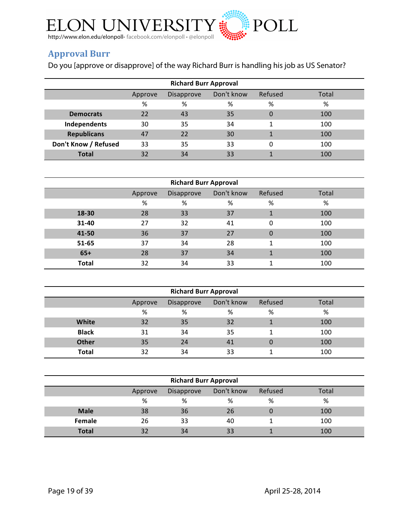

# **Approval Burr**

Do you [approve or disapprove] of the way Richard Burr is handling his job as US Senator?

| <b>Richard Burr Approval</b>                            |    |    |    |          |     |  |  |  |  |
|---------------------------------------------------------|----|----|----|----------|-----|--|--|--|--|
| Don't know<br>Refused<br>Total<br>Disapprove<br>Approve |    |    |    |          |     |  |  |  |  |
|                                                         | %  | %  | %  | %        | %   |  |  |  |  |
| <b>Democrats</b>                                        | 22 | 43 | 35 | $\Omega$ | 100 |  |  |  |  |
| Independents                                            | 30 | 35 | 34 | 1        | 100 |  |  |  |  |
| <b>Republicans</b>                                      | 47 | 22 | 30 |          | 100 |  |  |  |  |
| Don't Know / Refused                                    | 33 | 35 | 33 | 0        | 100 |  |  |  |  |
| <b>Total</b>                                            | 32 | 34 | 33 |          | 100 |  |  |  |  |

| <b>Richard Burr Approval</b> |         |            |            |          |       |  |  |  |
|------------------------------|---------|------------|------------|----------|-------|--|--|--|
|                              | Approve | Disapprove | Don't know | Refused  | Total |  |  |  |
|                              | %       | %          | %          | %        | %     |  |  |  |
| 18-30                        | 28      | 33         | 37         | 1        | 100   |  |  |  |
| 31-40                        | 27      | 32         | 41         | $\Omega$ | 100   |  |  |  |
| 41-50                        | 36      | 37         | 27         | $\Omega$ | 100   |  |  |  |
| 51-65                        | 37      | 34         | 28         | 1        | 100   |  |  |  |
| $65+$                        | 28      | 37         | 34         |          | 100   |  |  |  |
| <b>Total</b>                 | 32      | 34         | 33         |          | 100   |  |  |  |

| <b>Richard Burr Approval</b> |                                                         |    |    |                |     |  |  |  |  |
|------------------------------|---------------------------------------------------------|----|----|----------------|-----|--|--|--|--|
|                              | Don't know<br>Refused<br>Total<br>Disapprove<br>Approve |    |    |                |     |  |  |  |  |
|                              | %                                                       | %  | %  | %              | %   |  |  |  |  |
| White                        | 32                                                      | 35 | 32 |                | 100 |  |  |  |  |
| <b>Black</b>                 | 31                                                      | 34 | 35 |                | 100 |  |  |  |  |
| <b>Other</b>                 | 35                                                      | 24 | 41 | $\overline{0}$ | 100 |  |  |  |  |
| Total                        | 32                                                      | 34 | 33 |                | 100 |  |  |  |  |

| <b>Richard Burr Approval</b>                            |    |    |    |   |     |  |  |  |  |
|---------------------------------------------------------|----|----|----|---|-----|--|--|--|--|
| Don't know<br>Refused<br>Total<br>Disapprove<br>Approve |    |    |    |   |     |  |  |  |  |
|                                                         | %  | %  | %  | % | %   |  |  |  |  |
| <b>Male</b>                                             | 38 | 36 | 26 |   | 100 |  |  |  |  |
| Female                                                  | 26 | 33 | 40 |   | 100 |  |  |  |  |
| <b>Total</b>                                            | 32 | 34 | 33 |   | 100 |  |  |  |  |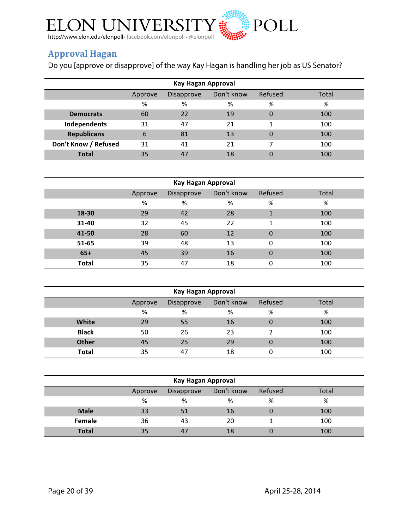

## **Approval Hagan**

Do you [approve or disapprove] of the way Kay Hagan is handling her job as US Senator?

| Kay Hagan Approval                                      |                  |    |    |                |     |  |  |  |  |
|---------------------------------------------------------|------------------|----|----|----------------|-----|--|--|--|--|
| Don't know<br>Refused<br>Total<br>Disapprove<br>Approve |                  |    |    |                |     |  |  |  |  |
|                                                         | %<br>%<br>%<br>% |    |    |                |     |  |  |  |  |
| <b>Democrats</b>                                        | 60               | 22 | 19 | $\overline{0}$ | 100 |  |  |  |  |
| Independents                                            | 31               | 47 | 21 | 1              | 100 |  |  |  |  |
| <b>Republicans</b>                                      | 6                | 81 | 13 | $\Omega$       | 100 |  |  |  |  |
| Don't Know / Refused                                    | 31               | 41 | 21 |                | 100 |  |  |  |  |
| <b>Total</b>                                            | 35               | 47 | 18 | 0              | 100 |  |  |  |  |

| Kay Hagan Approval |                                                                |    |    |              |     |  |  |  |  |
|--------------------|----------------------------------------------------------------|----|----|--------------|-----|--|--|--|--|
|                    | Don't know<br>Refused<br>Total<br><b>Disapprove</b><br>Approve |    |    |              |     |  |  |  |  |
|                    | %                                                              | %  | %  | %            | %   |  |  |  |  |
| 18-30              | 29                                                             | 42 | 28 | $\mathbf 1$  | 100 |  |  |  |  |
| 31-40              | 32                                                             | 45 | 22 | 1            | 100 |  |  |  |  |
| 41-50              | 28                                                             | 60 | 12 | $\mathbf{0}$ | 100 |  |  |  |  |
| 51-65              | 39                                                             | 48 | 13 | 0            | 100 |  |  |  |  |
| $65+$              | 45                                                             | 39 | 16 | 0            | 100 |  |  |  |  |
| <b>Total</b>       | 35                                                             | 47 | 18 | 0            | 100 |  |  |  |  |

| Kay Hagan Approval |                                                         |    |    |   |     |  |  |  |  |
|--------------------|---------------------------------------------------------|----|----|---|-----|--|--|--|--|
|                    | Don't know<br>Refused<br>Total<br>Disapprove<br>Approve |    |    |   |     |  |  |  |  |
|                    | %                                                       | %  | %  | % | %   |  |  |  |  |
| White              | 29                                                      | 55 | 16 | 0 | 100 |  |  |  |  |
| <b>Black</b>       | 50                                                      | 26 | 23 |   | 100 |  |  |  |  |
| <b>Other</b>       | 45                                                      | 25 | 29 | 0 | 100 |  |  |  |  |
| <b>Total</b>       | 35                                                      | 47 | 18 |   | 100 |  |  |  |  |

| Kay Hagan Approval                                      |    |    |    |   |     |  |  |  |  |
|---------------------------------------------------------|----|----|----|---|-----|--|--|--|--|
| Don't know<br>Refused<br>Total<br>Disapprove<br>Approve |    |    |    |   |     |  |  |  |  |
|                                                         | %  | %  | %  | % | %   |  |  |  |  |
| <b>Male</b>                                             | 33 | 51 | 16 |   | 100 |  |  |  |  |
| Female                                                  | 36 | 43 | 20 |   | 100 |  |  |  |  |
| <b>Total</b>                                            | 35 | 47 | 18 |   | 100 |  |  |  |  |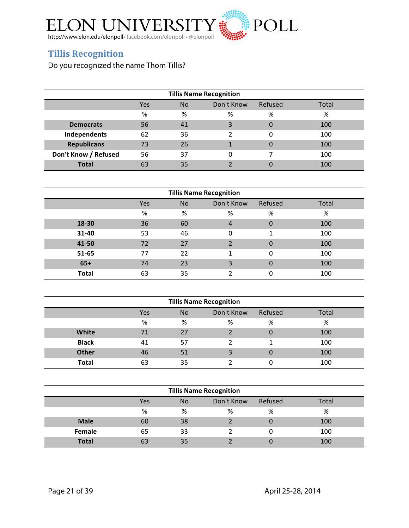

## **Tillis Recognition**

Do you recognized the name Thom Tillis?

| <b>Tillis Name Recognition</b>                     |    |    |   |          |     |  |  |  |  |
|----------------------------------------------------|----|----|---|----------|-----|--|--|--|--|
| Don't Know<br>Refused<br>Total<br><b>No</b><br>Yes |    |    |   |          |     |  |  |  |  |
|                                                    | %  | %  | % | %        | %   |  |  |  |  |
| <b>Democrats</b>                                   | 56 | 41 | 3 | 0        | 100 |  |  |  |  |
| Independents                                       | 62 | 36 |   | 0        | 100 |  |  |  |  |
| <b>Republicans</b>                                 | 73 | 26 |   | $\Omega$ | 100 |  |  |  |  |
| Don't Know / Refused                               | 56 | 37 |   |          | 100 |  |  |  |  |
| <b>Total</b>                                       | 63 | 35 |   |          | 100 |  |  |  |  |

| <b>Tillis Name Recognition</b> |     |           |            |          |       |  |  |  |
|--------------------------------|-----|-----------|------------|----------|-------|--|--|--|
|                                | Yes | <b>No</b> | Don't Know | Refused  | Total |  |  |  |
|                                | %   | %         | %          | %        | %     |  |  |  |
| 18-30                          | 36  | 60        | 4          | $\Omega$ | 100   |  |  |  |
| 31-40                          | 53  | 46        | $\Omega$   | 1        | 100   |  |  |  |
| 41-50                          | 72  | 27        |            | 0        | 100   |  |  |  |
| 51-65                          | 77  | 22        |            | 0        | 100   |  |  |  |
| $65+$                          | 74  | 23        | 3          | 0        | 100   |  |  |  |
| <b>Total</b>                   | 63  | 35        |            | 0        | 100   |  |  |  |

| <b>Tillis Name Recognition</b>                     |    |    |   |   |     |  |  |  |  |
|----------------------------------------------------|----|----|---|---|-----|--|--|--|--|
| Don't Know<br>Refused<br>Total<br><b>No</b><br>Yes |    |    |   |   |     |  |  |  |  |
|                                                    | %  | %  | % | % | %   |  |  |  |  |
| White                                              | 71 | 27 |   | 0 | 100 |  |  |  |  |
| <b>Black</b>                                       | 41 | 57 |   |   | 100 |  |  |  |  |
| <b>Other</b>                                       | 46 | 51 |   | 0 | 100 |  |  |  |  |
| <b>Total</b>                                       | 63 | 35 |   |   | 100 |  |  |  |  |

| <b>Tillis Name Recognition</b>                     |    |    |   |   |     |  |  |  |  |
|----------------------------------------------------|----|----|---|---|-----|--|--|--|--|
| Don't Know<br>Refused<br>Yes<br>Total<br><b>No</b> |    |    |   |   |     |  |  |  |  |
|                                                    | %  | %  | % | % | %   |  |  |  |  |
| <b>Male</b>                                        | 60 | 38 |   |   | 100 |  |  |  |  |
| Female                                             | 65 | 33 |   |   | 100 |  |  |  |  |
| <b>Total</b>                                       |    | 35 |   |   | 100 |  |  |  |  |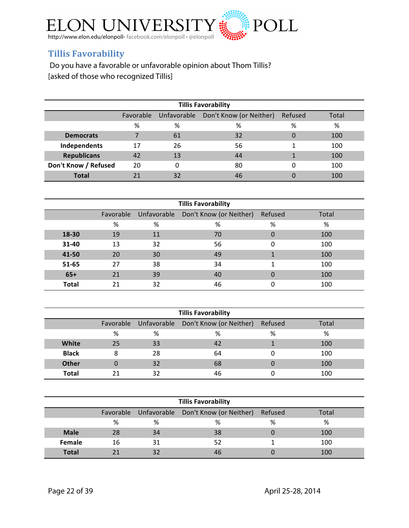

## **Tillis Favorability**

Do you have a favorable or unfavorable opinion about Thom Tillis? [asked of those who recognized Tillis]

| <b>Tillis Favorability</b> |           |    |                                     |         |       |  |  |  |  |
|----------------------------|-----------|----|-------------------------------------|---------|-------|--|--|--|--|
|                            | Favorable |    | Unfavorable Don't Know (or Neither) | Refused | Total |  |  |  |  |
|                            | %         | %  | %                                   | %       | %     |  |  |  |  |
| <b>Democrats</b>           |           | 61 | 32                                  | 0       | 100   |  |  |  |  |
| Independents               | 17        | 26 | 56                                  |         | 100   |  |  |  |  |
| <b>Republicans</b>         | 42        | 13 | 44                                  |         | 100   |  |  |  |  |
| Don't Know / Refused       | 20        |    | 80                                  | 0       | 100   |  |  |  |  |
| <b>Total</b>               |           | 32 | 46                                  |         | 100   |  |  |  |  |

| <b>Tillis Favorability</b> |           |             |                         |         |       |  |  |  |  |  |  |
|----------------------------|-----------|-------------|-------------------------|---------|-------|--|--|--|--|--|--|
|                            | Favorable | Unfavorable | Don't Know (or Neither) | Refused | Total |  |  |  |  |  |  |
|                            | %         | %           | %                       | %       | $\%$  |  |  |  |  |  |  |
| 18-30                      | 19        | 11          | 70                      | 0       | 100   |  |  |  |  |  |  |
| 31-40                      | 13        | 32          | 56                      | 0       | 100   |  |  |  |  |  |  |
| 41-50                      | 20        | 30          | 49                      |         | 100   |  |  |  |  |  |  |
| 51-65                      | 27        | 38          | 34                      |         | 100   |  |  |  |  |  |  |
| $65+$                      | 21        | 39          | 40                      | 0       | 100   |  |  |  |  |  |  |
| <b>Total</b>               | 21        | 32          | 46                      |         | 100   |  |  |  |  |  |  |

| <b>Tillis Favorability</b> |    |    |                                               |         |       |  |  |  |
|----------------------------|----|----|-----------------------------------------------|---------|-------|--|--|--|
|                            |    |    | Favorable Unfavorable Don't Know (or Neither) | Refused | Total |  |  |  |
|                            | ℅  | %  | %                                             | %       | %     |  |  |  |
| White                      | 25 | 33 | 42                                            |         | 100   |  |  |  |
| <b>Black</b>               | 8  | 28 | 64                                            |         | 100   |  |  |  |
| <b>Other</b>               |    | 32 | 68                                            |         | 100   |  |  |  |
| Total                      |    | 32 | 46                                            |         | 100   |  |  |  |

| <b>Tillis Favorability</b> |                                                                   |    |    |   |     |  |  |  |  |
|----------------------------|-------------------------------------------------------------------|----|----|---|-----|--|--|--|--|
|                            | Favorable Unfavorable Don't Know (or Neither)<br>Refused<br>Total |    |    |   |     |  |  |  |  |
|                            | ℅                                                                 | %  | %  | % | %   |  |  |  |  |
| <b>Male</b>                | 28                                                                | 34 | 38 |   | 100 |  |  |  |  |
| <b>Female</b>              | 16                                                                | 31 | 52 |   | 100 |  |  |  |  |
| <b>Total</b>               |                                                                   | 32 | 46 |   | 100 |  |  |  |  |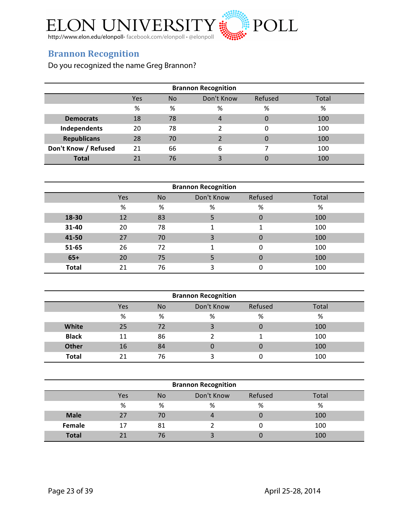

### **Brannon Recognition**

Do you recognized the name Greg Brannon?

| <b>Brannon Recognition</b> |     |           |                |          |       |  |  |
|----------------------------|-----|-----------|----------------|----------|-------|--|--|
|                            | Yes | <b>No</b> | Don't Know     | Refused  | Total |  |  |
|                            | %   | %         | %              | %        | %     |  |  |
| <b>Democrats</b>           | 18  | 78        | $\overline{4}$ | 0        | 100   |  |  |
| Independents               | 20  | 78        |                |          | 100   |  |  |
| <b>Republicans</b>         | 28  | 70        | າ              | $\Omega$ | 100   |  |  |
| Don't Know / Refused       | 21  | 66        | 6              |          | 100   |  |  |
| <b>Total</b>               |     | 76        |                |          | 100   |  |  |

| <b>Brannon Recognition</b> |     |           |            |         |       |  |  |  |
|----------------------------|-----|-----------|------------|---------|-------|--|--|--|
|                            | Yes | <b>No</b> | Don't Know | Refused | Total |  |  |  |
|                            | %   | %         | %          | %       | %     |  |  |  |
| 18-30                      | 12  | 83        |            | 0       | 100   |  |  |  |
| 31-40                      | 20  | 78        |            | 1       | 100   |  |  |  |
| 41-50                      | 27  | 70        | 3          | 0       | 100   |  |  |  |
| 51-65                      | 26  | 72        |            | 0       | 100   |  |  |  |
| $65+$                      | 20  | 75        |            | 0       | 100   |  |  |  |
| <b>Total</b>               | 21  | 76        | 3          | 0       | 100   |  |  |  |

| <b>Brannon Recognition</b> |     |           |            |         |       |  |  |  |
|----------------------------|-----|-----------|------------|---------|-------|--|--|--|
|                            | Yes | <b>No</b> | Don't Know | Refused | Total |  |  |  |
|                            | %   | %         | %          | %       | %     |  |  |  |
| <b>White</b>               | 25  | 72        |            | 0       | 100   |  |  |  |
| <b>Black</b>               | 11  | 86        |            |         | 100   |  |  |  |
| <b>Other</b>               | 16  | 84        |            | 0       | 100   |  |  |  |
| <b>Total</b>               | 21  | 76        |            |         | 100   |  |  |  |

| <b>Brannon Recognition</b> |     |           |            |         |       |  |  |  |
|----------------------------|-----|-----------|------------|---------|-------|--|--|--|
|                            | Yes | <b>No</b> | Don't Know | Refused | Total |  |  |  |
|                            | %   | %         | %          | %       | %     |  |  |  |
| <b>Male</b>                | 27  | 70        |            | 0       | 100   |  |  |  |
| <b>Female</b>              | 17  | 81        |            |         | 100   |  |  |  |
| <b>Total</b>               | 21  | 76        |            | 0       | 100   |  |  |  |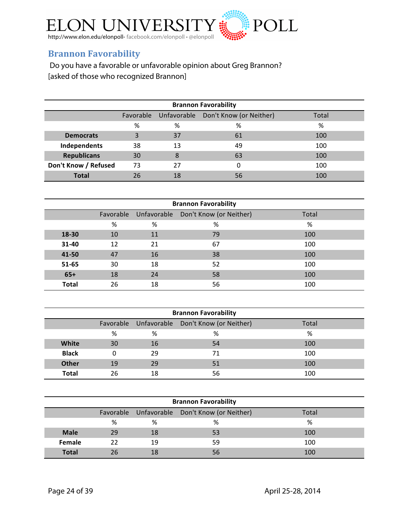

## **Brannon Favorability**

Do you have a favorable or unfavorable opinion about Greg Brannon? [asked of those who recognized Brannon]

| <b>Brannon Favorability</b>                            |    |    |    |     |  |  |  |
|--------------------------------------------------------|----|----|----|-----|--|--|--|
| Favorable Unfavorable Don't Know (or Neither)<br>Total |    |    |    |     |  |  |  |
|                                                        | %  | %  | %  | %   |  |  |  |
| <b>Democrats</b>                                       | 3  | 37 | 61 | 100 |  |  |  |
| Independents                                           | 38 | 13 | 49 | 100 |  |  |  |
| <b>Republicans</b>                                     | 30 | 8  | 63 | 100 |  |  |  |
| Don't Know / Refused                                   | 73 | 27 |    | 100 |  |  |  |
| <b>Total</b>                                           | 26 | 18 | 56 | 100 |  |  |  |

| <b>Brannon Favorability</b> |    |    |                                               |       |  |  |  |  |  |
|-----------------------------|----|----|-----------------------------------------------|-------|--|--|--|--|--|
|                             |    |    | Favorable Unfavorable Don't Know (or Neither) | Total |  |  |  |  |  |
|                             | %  | %  | %                                             | %     |  |  |  |  |  |
| 18-30                       | 10 | 11 | 79                                            | 100   |  |  |  |  |  |
| 31-40                       | 12 | 21 | 67                                            | 100   |  |  |  |  |  |
| 41-50                       | 47 | 16 | 38                                            | 100   |  |  |  |  |  |
| 51-65                       | 30 | 18 | 52                                            | 100   |  |  |  |  |  |
| $65+$                       | 18 | 24 | 58                                            | 100   |  |  |  |  |  |
| <b>Total</b>                | 26 | 18 | 56                                            | 100   |  |  |  |  |  |

| <b>Brannon Favorability</b> |                                                        |    |    |     |  |  |  |  |
|-----------------------------|--------------------------------------------------------|----|----|-----|--|--|--|--|
|                             | Favorable Unfavorable Don't Know (or Neither)<br>Total |    |    |     |  |  |  |  |
|                             | %                                                      | %  | %  | %   |  |  |  |  |
| White                       | 30                                                     | 16 | 54 | 100 |  |  |  |  |
| <b>Black</b>                | 0                                                      | 29 | 71 | 100 |  |  |  |  |
| <b>Other</b>                | 19                                                     | 29 | 51 | 100 |  |  |  |  |
| <b>Total</b>                | 26                                                     | 18 | 56 | 100 |  |  |  |  |

| <b>Brannon Favorability</b>                            |    |    |    |     |  |  |  |  |
|--------------------------------------------------------|----|----|----|-----|--|--|--|--|
| Favorable Unfavorable Don't Know (or Neither)<br>Total |    |    |    |     |  |  |  |  |
|                                                        | %  | %  | %  | %   |  |  |  |  |
| <b>Male</b>                                            | 29 | 18 | 53 | 100 |  |  |  |  |
| Female                                                 | 22 | 19 | 59 | 100 |  |  |  |  |
| <b>Total</b>                                           | 26 | 18 | 56 | 100 |  |  |  |  |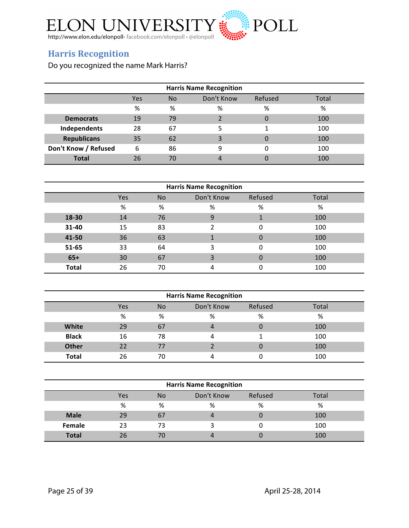

## **Harris Recognition**

Do you recognized the name Mark Harris?

| <b>Harris Name Recognition</b> |     |     |            |          |       |  |  |
|--------------------------------|-----|-----|------------|----------|-------|--|--|
|                                | Yes | No. | Don't Know | Refused  | Total |  |  |
|                                | %   | %   | %          | %        | %     |  |  |
| <b>Democrats</b>               | 19  | 79  |            | 0        | 100   |  |  |
| Independents                   | 28  | 67  |            |          | 100   |  |  |
| <b>Republicans</b>             | 35  | 62  | ς          | $\Omega$ | 100   |  |  |
| Don't Know / Refused           | 6   | 86  | 9          |          | 100   |  |  |
| <b>Total</b>                   | 26  | 70  |            |          | 100   |  |  |

| <b>Harris Name Recognition</b> |     |                |            |         |       |  |  |  |
|--------------------------------|-----|----------------|------------|---------|-------|--|--|--|
|                                | Yes | N <sub>o</sub> | Don't Know | Refused | Total |  |  |  |
|                                | %   | %              | %          | %       | %     |  |  |  |
| 18-30                          | 14  | 76             | 9          |         | 100   |  |  |  |
| 31-40                          | 15  | 83             | າ          | 0       | 100   |  |  |  |
| 41-50                          | 36  | 63             |            | 0       | 100   |  |  |  |
| 51-65                          | 33  | 64             | ς          | 0       | 100   |  |  |  |
| $65+$                          | 30  | 67             |            | 0       | 100   |  |  |  |
| <b>Total</b>                   | 26  | 70             |            | 0       | 100   |  |  |  |

| <b>Harris Name Recognition</b> |     |                |            |         |       |  |  |
|--------------------------------|-----|----------------|------------|---------|-------|--|--|
|                                | Yes | N <sub>o</sub> | Don't Know | Refused | Total |  |  |
|                                | %   | %              | %          | %       | %     |  |  |
| <b>White</b>                   | 29  | 67             |            | 0       | 100   |  |  |
| <b>Black</b>                   | 16  | 78             |            |         | 100   |  |  |
| <b>Other</b>                   | 22  | 77             |            | 0       | 100   |  |  |
| <b>Total</b>                   | 26  | 70             |            |         | 100   |  |  |

| <b>Harris Name Recognition</b> |     |           |            |         |       |  |  |
|--------------------------------|-----|-----------|------------|---------|-------|--|--|
|                                | Yes | <b>No</b> | Don't Know | Refused | Total |  |  |
|                                | %   | %         | %          | %       | %     |  |  |
| <b>Male</b>                    | 29  | 67        |            | 0       | 100   |  |  |
| <b>Female</b>                  | 23  | 73        |            |         | 100   |  |  |
| <b>Total</b>                   | 26  | 70        |            |         | 100   |  |  |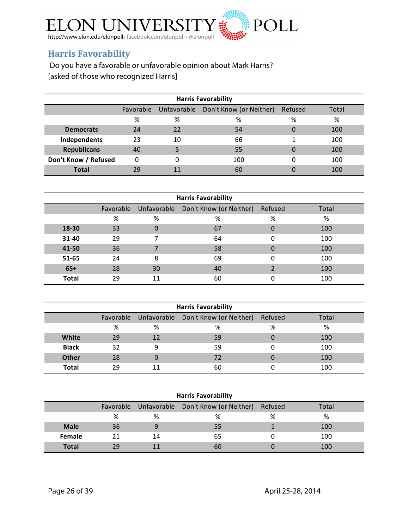

## **Harris Favorability**

Do you have a favorable or unfavorable opinion about Mark Harris? [asked of those who recognized Harris]

| <b>Harris Favorability</b> |          |    |                                               |         |       |  |  |  |
|----------------------------|----------|----|-----------------------------------------------|---------|-------|--|--|--|
|                            |          |    | Favorable Unfavorable Don't Know (or Neither) | Refused | Total |  |  |  |
|                            | %        | %  | %                                             | %       | %     |  |  |  |
| <b>Democrats</b>           | 24       | 22 | 54                                            | 0       | 100   |  |  |  |
| Independents               | 23       | 10 | 66                                            |         | 100   |  |  |  |
| <b>Republicans</b>         | 40       |    | 55                                            |         | 100   |  |  |  |
| Don't Know / Refused       | $\Omega$ | 0  | 100                                           | 0       | 100   |  |  |  |
| Total                      | 29       |    | 60                                            |         | 100   |  |  |  |

| <b>Harris Favorability</b> |           |             |                         |          |       |  |  |
|----------------------------|-----------|-------------|-------------------------|----------|-------|--|--|
|                            | Favorable | Unfavorable | Don't Know (or Neither) | Refused  | Total |  |  |
|                            | %         | %           | %                       | %        | %     |  |  |
| 18-30                      | 33        | 0           | 67                      | 0        | 100   |  |  |
| 31-40                      | 29        | 7           | 64                      | 0        | 100   |  |  |
| 41-50                      | 36        | 7           | 58                      | $\Omega$ | 100   |  |  |
| 51-65                      | 24        | 8           | 69                      | $\Omega$ | 100   |  |  |
| $65+$                      | 28        | 30          | 40                      |          | 100   |  |  |
| <b>Total</b>               | 29        | 11          | 60                      | $\Omega$ | 100   |  |  |

| <b>Harris Favorability</b> |    |    |                                               |         |       |  |  |
|----------------------------|----|----|-----------------------------------------------|---------|-------|--|--|
|                            |    |    | Favorable Unfavorable Don't Know (or Neither) | Refused | Total |  |  |
|                            | %  | %  | %                                             | %       | %     |  |  |
| <b>White</b>               | 29 | 12 | 59                                            |         | 100   |  |  |
| <b>Black</b>               | 32 | 9  | 59                                            |         | 100   |  |  |
| <b>Other</b>               | 28 | 0  | 72                                            |         | 100   |  |  |
| <b>Total</b>               | οq | 11 | 60                                            |         | 100   |  |  |

| <b>Harris Favorability</b> |    |    |                                               |         |       |  |  |
|----------------------------|----|----|-----------------------------------------------|---------|-------|--|--|
|                            |    |    | Favorable Unfavorable Don't Know (or Neither) | Refused | Total |  |  |
|                            | %  | %  | %                                             | %       | %     |  |  |
| <b>Male</b>                | 36 |    | 55                                            |         | 100   |  |  |
| <b>Female</b>              | 21 | 14 | 65                                            |         | 100   |  |  |
| <b>Total</b>               | 29 |    | 60                                            |         | 100   |  |  |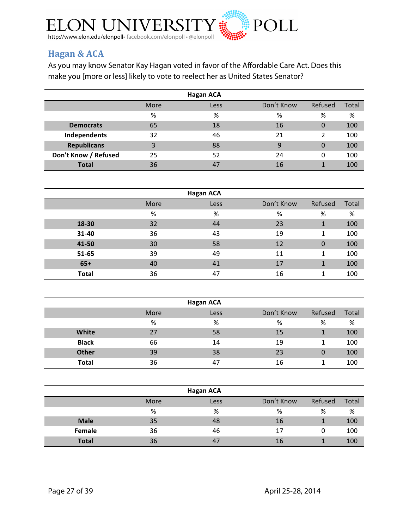

## **Hagan & ACA**

As you may know Senator Kay Hagan voted in favor of the Affordable Care Act. Does this make you [more or less] likely to vote to reelect her as United States Senator?

| <b>Hagan ACA</b>     |      |      |              |         |       |
|----------------------|------|------|--------------|---------|-------|
|                      | More | Less | Don't Know   | Refused | Total |
|                      | %    | %    | %            | %       | %     |
| <b>Democrats</b>     | 65   | 18   | 16           | 0       | 100   |
| Independents         | 32   | 46   | 21           | 2       | 100   |
| <b>Republicans</b>   | 3    | 88   | $\mathbf{q}$ | 0       | 100   |
| Don't Know / Refused | 25   | 52   | 24           | 0       | 100   |
| <b>Total</b>         | 36   | 47   | 16           | 1       | 100   |

|              |      | <b>Hagan ACA</b> |            |          |       |
|--------------|------|------------------|------------|----------|-------|
|              | More | Less             | Don't Know | Refused  | Total |
|              | %    | %                | %          | %        | %     |
| 18-30        | 32   | 44               | 23         | 1        | 100   |
| 31-40        | 36   | 43               | 19         | 1        | 100   |
| 41-50        | 30   | 58               | 12         | $\Omega$ | 100   |
| 51-65        | 39   | 49               | 11         | 1        | 100   |
| $65+$        | 40   | 41               | 17         | 1        | 100   |
| <b>Total</b> | 36   | 47               | 16         | 1        | 100   |

| <b>Hagan ACA</b> |      |      |            |         |       |  |  |
|------------------|------|------|------------|---------|-------|--|--|
|                  | More | Less | Don't Know | Refused | Total |  |  |
|                  | %    | %    | %          | %       | %     |  |  |
| White            | 27   | 58   | 15         |         | 100   |  |  |
| <b>Black</b>     | 66   | 14   | 19         |         | 100   |  |  |
| <b>Other</b>     | 39   | 38   | 23         | 0       | 100   |  |  |
| Total            | 36   | 47   | 16         |         | 100   |  |  |

|              |      | <b>Hagan ACA</b> |            |         |       |
|--------------|------|------------------|------------|---------|-------|
|              | More | Less             | Don't Know | Refused | Total |
|              | %    | %                | %          | %       | %     |
| <b>Male</b>  | 35   | 48               | 16         |         | 100   |
| Female       | 36   | 46               | 17         | Ω       | 100   |
| <b>Total</b> | 36   | 47               | 16         |         | 100   |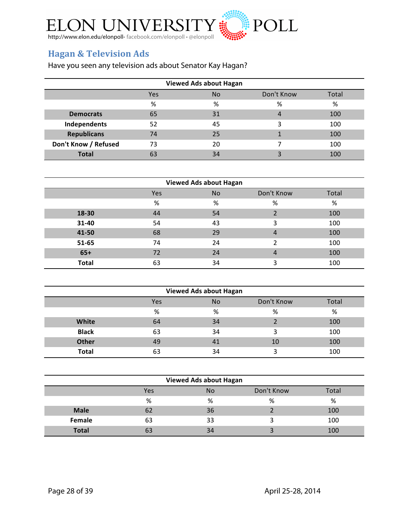

## **Hagan & Television Ads**

Have you seen any television ads about Senator Kay Hagan?

| <b>Viewed Ads about Hagan</b> |            |           |            |       |  |  |  |
|-------------------------------|------------|-----------|------------|-------|--|--|--|
|                               | <b>Yes</b> | <b>No</b> | Don't Know | Total |  |  |  |
|                               | %          | %         | %          | %     |  |  |  |
| <b>Democrats</b>              | 65         | 31        | 4          | 100   |  |  |  |
| Independents                  | 52         | 45        | 3          | 100   |  |  |  |
| <b>Republicans</b>            | 74         | 25        |            | 100   |  |  |  |
| Don't Know / Refused          | 73         | 20        |            | 100   |  |  |  |
| <b>Total</b>                  | 63         | 34        |            | 100   |  |  |  |

| <b>Viewed Ads about Hagan</b> |     |    |            |       |  |  |  |
|-------------------------------|-----|----|------------|-------|--|--|--|
|                               | Yes | No | Don't Know | Total |  |  |  |
|                               | %   | %  | %          | %     |  |  |  |
| 18-30                         | 44  | 54 |            | 100   |  |  |  |
| 31-40                         | 54  | 43 | 3          | 100   |  |  |  |
| 41-50                         | 68  | 29 | 4          | 100   |  |  |  |
| 51-65                         | 74  | 24 | າ          | 100   |  |  |  |
| $65+$                         | 72  | 24 | 4          | 100   |  |  |  |
| <b>Total</b>                  | 63  | 34 | 3          | 100   |  |  |  |

| <b>Viewed Ads about Hagan</b>    |    |    |    |     |  |
|----------------------------------|----|----|----|-----|--|
| Don't Know<br>Total<br>Yes<br>No |    |    |    |     |  |
| %<br>%<br>%<br>%                 |    |    |    |     |  |
| White<br>34<br>64                |    |    |    | 100 |  |
| <b>Black</b>                     | 63 | 34 | 3  | 100 |  |
| <b>Other</b><br>49<br>41         |    |    | 10 | 100 |  |
| <b>Total</b>                     | 63 | 34 |    | 100 |  |

| <b>Viewed Ads about Hagan</b>           |    |    |  |     |  |
|-----------------------------------------|----|----|--|-----|--|
| Don't Know<br>Total<br><b>No</b><br>Yes |    |    |  |     |  |
| %<br>%<br>%<br>%                        |    |    |  |     |  |
| <b>Male</b>                             | 62 | 36 |  | 100 |  |
| Female                                  | 63 | 33 |  | 100 |  |
| <b>Total</b>                            | 63 | 34 |  | 100 |  |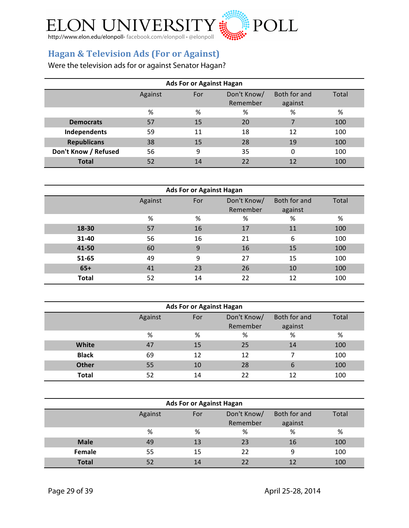

## **Hagan & Television Ads (For or Against)**

Were the television ads for or against Senator Hagan?

| Ads For or Against Hagan                                                      |    |    |    |          |     |
|-------------------------------------------------------------------------------|----|----|----|----------|-----|
| Don't Know/<br>Both for and<br>Against<br>For<br>Total<br>Remember<br>against |    |    |    |          |     |
|                                                                               | %  | %  | %  | %        | %   |
| <b>Democrats</b>                                                              | 57 | 15 | 20 | 7        | 100 |
| Independents                                                                  | 59 | 11 | 18 | 12       | 100 |
| <b>Republicans</b>                                                            | 38 | 15 | 28 | 19       | 100 |
| Don't Know / Refused                                                          | 56 | 9  | 35 | $\Omega$ | 100 |
| <b>Total</b>                                                                  | 52 | 14 | 22 | 12       | 100 |

| <b>Ads For or Against Hagan</b> |         |     |                         |                         |       |
|---------------------------------|---------|-----|-------------------------|-------------------------|-------|
|                                 | Against | For | Don't Know/<br>Remember | Both for and<br>against | Total |
|                                 | %       | %   | %                       | %                       | %     |
| 18-30                           | 57      | 16  | 17                      | 11                      | 100   |
| 31-40                           | 56      | 16  | 21                      | 6                       | 100   |
| 41-50                           | 60      | 9   | 16                      | 15                      | 100   |
| 51-65                           | 49      | 9   | 27                      | 15                      | 100   |
| $65+$                           | 41      | 23  | 26                      | 10                      | 100   |
| <b>Total</b>                    | 52      | 14  | 22                      | 12                      | 100   |

| <b>Ads For or Against Hagan</b>                                               |    |    |    |    |     |  |
|-------------------------------------------------------------------------------|----|----|----|----|-----|--|
| Don't Know/<br>Both for and<br>Total<br>Against<br>For<br>Remember<br>against |    |    |    |    |     |  |
| %<br>%<br>%<br>%<br>%                                                         |    |    |    |    |     |  |
| White                                                                         | 47 | 15 | 25 | 14 | 100 |  |
| <b>Black</b>                                                                  | 69 | 12 | 12 | 7  | 100 |  |
| <b>Other</b>                                                                  | 55 | 10 | 28 | 6  | 100 |  |
| <b>Total</b>                                                                  | 52 | 14 | 22 | 12 | 100 |  |

| <b>Ads For or Against Hagan</b>                                               |    |    |    |    |     |  |
|-------------------------------------------------------------------------------|----|----|----|----|-----|--|
| Don't Know/<br>Both for and<br>Total<br>Against<br>For<br>Remember<br>against |    |    |    |    |     |  |
| ℅<br>%<br>%<br>%<br>%                                                         |    |    |    |    |     |  |
| <b>Male</b>                                                                   | 49 | 13 | 23 | 16 | 100 |  |
| Female                                                                        | 55 | 15 | 22 | 9  | 100 |  |
| <b>Total</b>                                                                  | 52 | 14 | 22 |    | 100 |  |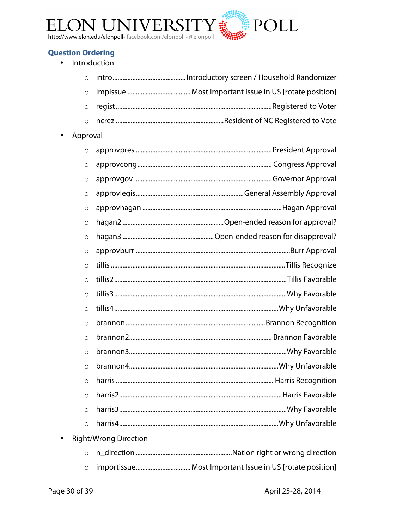

#### **Question Ordering**

|          | Introduction                 |
|----------|------------------------------|
| $\circ$  |                              |
| $\circ$  |                              |
| $\circ$  |                              |
| $\circ$  |                              |
| Approval |                              |
| $\circ$  |                              |
| $\circ$  |                              |
| $\circ$  |                              |
| $\circ$  |                              |
| $\circ$  |                              |
| $\circ$  |                              |
| $\circ$  |                              |
| $\circ$  |                              |
| $\circ$  |                              |
| $\circ$  |                              |
| $\circ$  |                              |
| $\circ$  |                              |
| $\circ$  |                              |
| $\circ$  |                              |
| $\circ$  |                              |
| $\circ$  |                              |
| $\circ$  |                              |
| $\circ$  |                              |
| $\circ$  |                              |
| $\circ$  |                              |
|          | <b>Right/Wrong Direction</b> |
| $\circ$  |                              |
| $\circ$  |                              |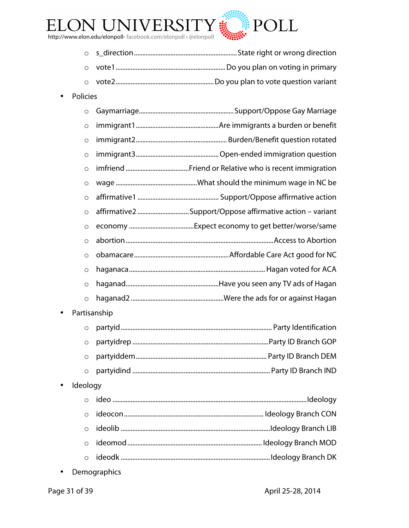

- o s\_direction..............................................................State right or wrong direction
- o vote1..................................................................Do you plan on voting in primary
- o vote2...........................................................Do you plan to vote question variant
- Policies

|           | $\circ$      |                                                          |
|-----------|--------------|----------------------------------------------------------|
|           | $\circ$      |                                                          |
|           | $\circ$      |                                                          |
|           | $\circ$      |                                                          |
|           | $\circ$      |                                                          |
|           | $\circ$      |                                                          |
|           | $\circ$      |                                                          |
|           | $\circ$      | affirmative2 Support/Oppose affirmative action - variant |
|           | $\circ$      |                                                          |
|           | $\circ$      |                                                          |
|           | $\circ$      |                                                          |
|           | $\circ$      |                                                          |
|           | $\circ$      |                                                          |
|           | $\circ$      |                                                          |
| $\bullet$ | Partisanship |                                                          |
|           | $\circ$      |                                                          |
|           |              | $D = 1000$<br>المتحام والمنافي ويقود مواجب               |

- o partyidrep ..................................................................................Party ID Branch GOP o partyiddem............................................................................... Party ID Branch DEM
- o partyidind ................................................................................... Party ID Branch IND
- Ideology

• Demographics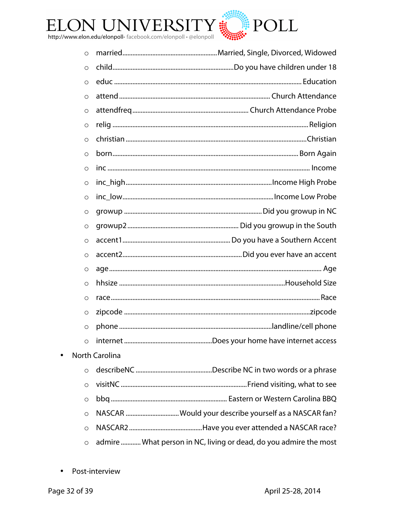

| O       |                                                                   |
|---------|-------------------------------------------------------------------|
| $\circ$ |                                                                   |
| $\circ$ |                                                                   |
| $\circ$ |                                                                   |
| $\circ$ |                                                                   |
| $\circ$ |                                                                   |
| $\circ$ |                                                                   |
| $\circ$ |                                                                   |
| $\circ$ |                                                                   |
| $\circ$ |                                                                   |
| $\circ$ |                                                                   |
| $\circ$ |                                                                   |
| $\circ$ |                                                                   |
| $\circ$ |                                                                   |
| $\circ$ |                                                                   |
| $\circ$ |                                                                   |
| $\circ$ |                                                                   |
| $\circ$ |                                                                   |
| $\circ$ |                                                                   |
| $\circ$ |                                                                   |
| $\circ$ |                                                                   |
|         | <b>North Carolina</b>                                             |
| $\circ$ |                                                                   |
| O       |                                                                   |
| $\circ$ |                                                                   |
| $\circ$ | NASCAR  Would your describe yourself as a NASCAR fan?             |
| $\circ$ |                                                                   |
| $\circ$ | admire  What person in NC, living or dead, do you admire the most |

• Post-interview

 $\bullet$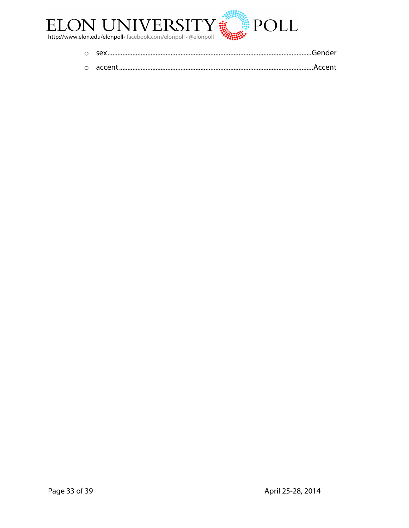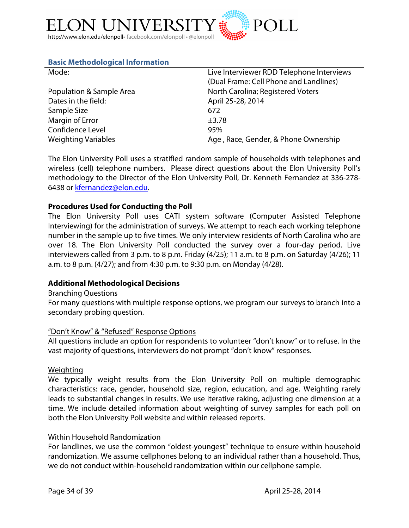

#### **Basic Methodological Information**

| Mode:                      | Live Interviewer RDD Telephone Interviews |
|----------------------------|-------------------------------------------|
|                            | (Dual Frame: Cell Phone and Landlines)    |
| Population & Sample Area   | North Carolina; Registered Voters         |
| Dates in the field:        | April 25-28, 2014                         |
| Sample Size                | 672                                       |
| Margin of Error            | $\pm$ 3.78                                |
| Confidence Level           | 95%                                       |
| <b>Weighting Variables</b> | Age, Race, Gender, & Phone Ownership      |

The Elon University Poll uses a stratified random sample of households with telephones and wireless (cell) telephone numbers. Please direct questions about the Elon University Poll's methodology to the Director of the Elon University Poll, Dr. Kenneth Fernandez at 336-278- 6438 or kfernandez@elon.edu.

#### **Procedures Used for Conducting the Poll**

The Elon University Poll uses CATI system software (Computer Assisted Telephone Interviewing) for the administration of surveys. We attempt to reach each working telephone number in the sample up to five times. We only interview residents of North Carolina who are over 18. The Elon University Poll conducted the survey over a four-day period. Live interviewers called from 3 p.m. to 8 p.m. Friday (4/25); 11 a.m. to 8 p.m. on Saturday (4/26); 11 a.m. to 8 p.m. (4/27); and from 4:30 p.m. to 9:30 p.m. on Monday (4/28).

#### **Additional Methodological Decisions**

#### Branching Questions

For many questions with multiple response options, we program our surveys to branch into a secondary probing question.

#### "Don't Know" & "Refused" Response Options

All questions include an option for respondents to volunteer "don't know" or to refuse. In the vast majority of questions, interviewers do not prompt "don't know" responses.

#### Weighting

We typically weight results from the Elon University Poll on multiple demographic characteristics: race, gender, household size, region, education, and age. Weighting rarely leads to substantial changes in results. We use iterative raking, adjusting one dimension at a time. We include detailed information about weighting of survey samples for each poll on both the Elon University Poll website and within released reports.

#### Within Household Randomization

For landlines, we use the common "oldest-youngest" technique to ensure within household randomization. We assume cellphones belong to an individual rather than a household. Thus, we do not conduct within-household randomization within our cellphone sample.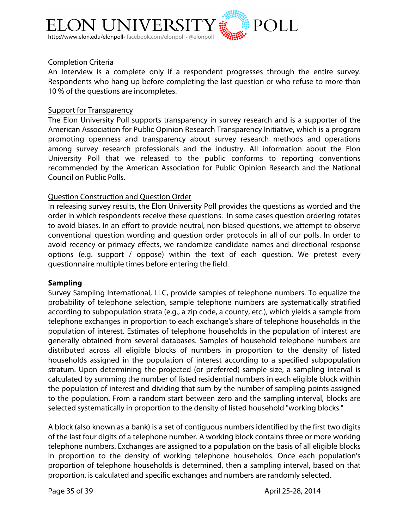

#### Completion Criteria

An interview is a complete only if a respondent progresses through the entire survey. Respondents who hang up before completing the last question or who refuse to more than 10 % of the questions are incompletes.

#### Support for Transparency

The Elon University Poll supports transparency in survey research and is a supporter of the American Association for Public Opinion Research Transparency Initiative, which is a program promoting openness and transparency about survey research methods and operations among survey research professionals and the industry. All information about the Elon University Poll that we released to the public conforms to reporting conventions recommended by the American Association for Public Opinion Research and the National Council on Public Polls.

#### Question Construction and Question Order

In releasing survey results, the Elon University Poll provides the questions as worded and the order in which respondents receive these questions. In some cases question ordering rotates to avoid biases. In an effort to provide neutral, non-biased questions, we attempt to observe conventional question wording and question order protocols in all of our polls. In order to avoid recency or primacy effects, we randomize candidate names and directional response options (e.g. support / oppose) within the text of each question. We pretest every questionnaire multiple times before entering the field.

#### **Sampling**

Survey Sampling International, LLC, provide samples of telephone numbers. To equalize the probability of telephone selection, sample telephone numbers are systematically stratified according to subpopulation strata (e.g., a zip code, a county, etc.), which yields a sample from telephone exchanges in proportion to each exchange's share of telephone households in the population of interest. Estimates of telephone households in the population of interest are generally obtained from several databases. Samples of household telephone numbers are distributed across all eligible blocks of numbers in proportion to the density of listed households assigned in the population of interest according to a specified subpopulation stratum. Upon determining the projected (or preferred) sample size, a sampling interval is calculated by summing the number of listed residential numbers in each eligible block within the population of interest and dividing that sum by the number of sampling points assigned to the population. From a random start between zero and the sampling interval, blocks are selected systematically in proportion to the density of listed household "working blocks."

A block (also known as a bank) is a set of contiguous numbers identified by the first two digits of the last four digits of a telephone number. A working block contains three or more working telephone numbers. Exchanges are assigned to a population on the basis of all eligible blocks in proportion to the density of working telephone households. Once each population's proportion of telephone households is determined, then a sampling interval, based on that proportion, is calculated and specific exchanges and numbers are randomly selected.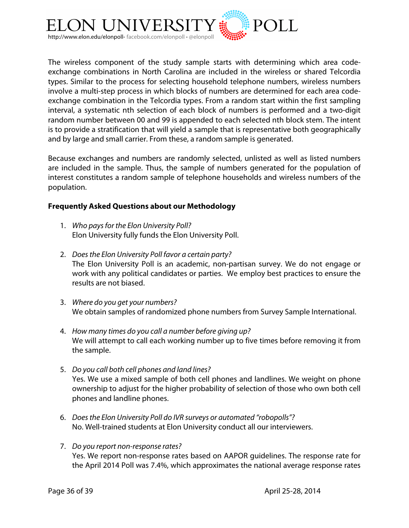

The wireless component of the study sample starts with determining which area codeexchange combinations in North Carolina are included in the wireless or shared Telcordia types. Similar to the process for selecting household telephone numbers, wireless numbers involve a multi-step process in which blocks of numbers are determined for each area codeexchange combination in the Telcordia types. From a random start within the first sampling interval, a systematic nth selection of each block of numbers is performed and a two-digit random number between 00 and 99 is appended to each selected nth block stem. The intent is to provide a stratification that will yield a sample that is representative both geographically and by large and small carrier. From these, a random sample is generated.

Because exchanges and numbers are randomly selected, unlisted as well as listed numbers are included in the sample. Thus, the sample of numbers generated for the population of interest constitutes a random sample of telephone households and wireless numbers of the population.

#### **Frequently Asked Questions about our Methodology**

- 1. *Who pays for the Elon University Poll?* Elon University fully funds the Elon University Poll.
- 2. *Does the Elon University Poll favor a certain party?* The Elon University Poll is an academic, non-partisan survey. We do not engage or work with any political candidates or parties. We employ best practices to ensure the results are not biased.
- 3. *Where do you get your numbers?* We obtain samples of randomized phone numbers from Survey Sample International.
- 4. *How many times do you call a number before giving up?* We will attempt to call each working number up to five times before removing it from the sample.
- 5. *Do you call both cell phones and land lines?* Yes. We use a mixed sample of both cell phones and landlines. We weight on phone ownership to adjust for the higher probability of selection of those who own both cell phones and landline phones.
- 6. *Does the Elon University Poll do IVR surveys or automated "robopolls"?* No. Well-trained students at Elon University conduct all our interviewers.
- 7. *Do you report non-response rates?* Yes. We report non-response rates based on AAPOR guidelines. The response rate for the April 2014 Poll was 7.4%, which approximates the national average response rates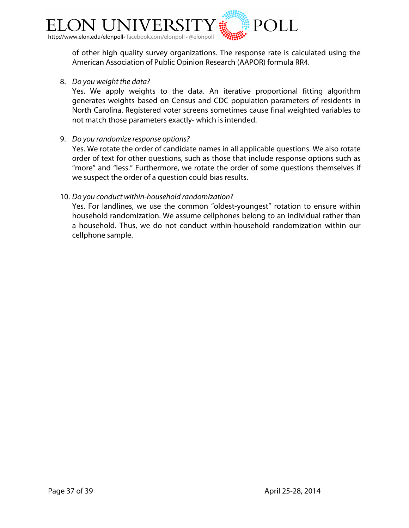

of other high quality survey organizations. The response rate is calculated using the American Association of Public Opinion Research (AAPOR) formula RR4.

8. *Do you weight the data?*

Yes. We apply weights to the data. An iterative proportional fitting algorithm generates weights based on Census and CDC population parameters of residents in North Carolina. Registered voter screens sometimes cause final weighted variables to not match those parameters exactly- which is intended.

9. *Do you randomize response options?*

Yes. We rotate the order of candidate names in all applicable questions. We also rotate order of text for other questions, such as those that include response options such as "more" and "less." Furthermore, we rotate the order of some questions themselves if we suspect the order of a question could bias results.

#### 10. *Do you conduct within-household randomization?*

Yes. For landlines, we use the common "oldest-youngest" rotation to ensure within household randomization. We assume cellphones belong to an individual rather than a household. Thus, we do not conduct within-household randomization within our cellphone sample.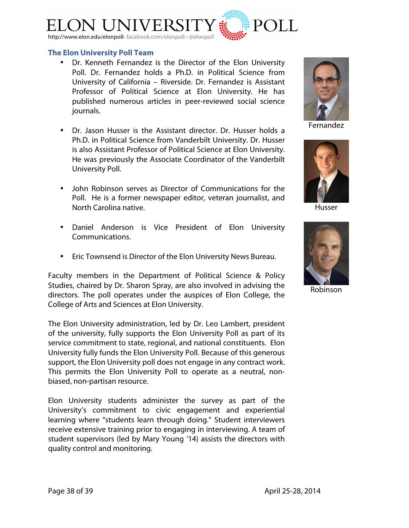

#### **The Elon University Poll Team**

- Dr. Kenneth Fernandez is the Director of the Elon University Poll. Dr. Fernandez holds a Ph.D. in Political Science from University of California – Riverside. Dr. Fernandez is Assistant Professor of Political Science at Elon University. He has published numerous articles in peer-reviewed social science journals.
- Dr. Jason Husser is the Assistant director. Dr. Husser holds a Ph.D. in Political Science from Vanderbilt University. Dr. Husser is also Assistant Professor of Political Science at Elon University. He was previously the Associate Coordinator of the Vanderbilt University Poll.
- John Robinson serves as Director of Communications for the Poll. He is a former newspaper editor, veteran journalist, and North Carolina native.
- Daniel Anderson is Vice President of Elon University Communications.
- Eric Townsend is Director of the Elon University News Bureau.

Faculty members in the Department of Political Science & Policy Studies, chaired by Dr. Sharon Spray, are also involved in advising the directors. The poll operates under the auspices of Elon College, the College of Arts and Sciences at Elon University.

The Elon University administration, led by Dr. Leo Lambert, president of the university, fully supports the Elon University Poll as part of its service commitment to state, regional, and national constituents. Elon University fully funds the Elon University Poll. Because of this generous support, the Elon University poll does not engage in any contract work. This permits the Elon University Poll to operate as a neutral, nonbiased, non-partisan resource.

Elon University students administer the survey as part of the University's commitment to civic engagement and experiential learning where "students learn through doing." Student interviewers receive extensive training prior to engaging in interviewing. A team of student supervisors (led by Mary Young '14) assists the directors with quality control and monitoring.



Fernandez



Husser



Robinson